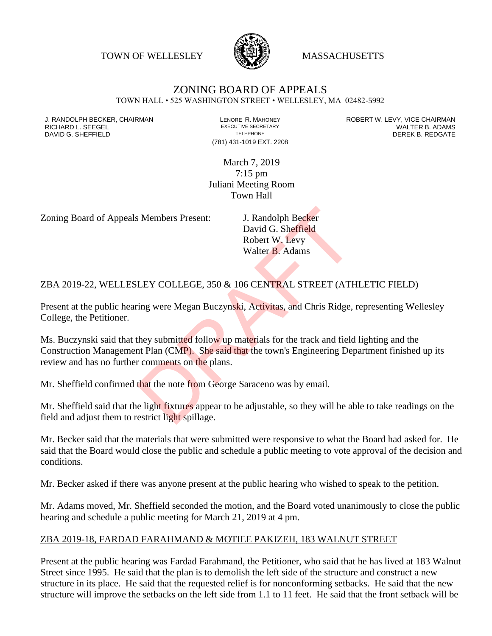TOWN OF WELLESLEY **WASSACHUSETTS** 



# ZONING BOARD OF APPEALS

TOWN HALL • 525 WASHINGTON STREET • WELLESLEY, MA 02482-5992

DAVID G. SHEFFIELD

(781) 431-1019 EXT. 2208

J. RANDOLPH BECKER, CHAIRMAN LENORE R. MAHONEY LENORE R. MAHONEY ROBERT W. LEVY, VICE CHAIRMAN LENORE R. ADAMS<br>RICHARD L. SEEGEL LENDRIS ADAMS LEXECUTIVE SECRETARY LENORE R. ADAMS RICHARD L. SEEGEL EXECUTIVE SECRETARY WALTER B. ADAMS

> March 7, 2019 7:15 pm Juliani Meeting Room Town Hall

Zoning Board of Appeals Members Present: J. Randolph Becker

David G. Sheffield Robert W. Levy Walter B. Adams

#### ZBA 2019-22, WELLESLEY COLLEGE, 350 & 106 CENTRAL STREET (ATHLETIC FIELD)

Present at the public hearing were Megan Buczynski, Activitas, and Chris Ridge, representing Wellesley College, the Petitioner.

Ms. Buczynski said that they submitted follow up materials for the track and field lighting and the Construction Management Plan (CMP). She said that the town's Engineering Department finished up its review and has no further comments on the plans. S. Members Present:<br>
J. Randolph Becker<br>
David G. Sheffield<br>
Robert W. Levy<br>
Walter B. Adams<br>
LEY COLLEGE, 350 & 106 CENTRAL STREET (ATE<br>
ting were Megan Buczynski, Activitas, and Chris Ridge,<br>
they submitted follow up mat

Mr. Sheffield confirmed that the note from George Saraceno was by email.

Mr. Sheffield said that the light fixtures appear to be adjustable, so they will be able to take readings on the field and adjust them to restrict light spillage.

Mr. Becker said that the materials that were submitted were responsive to what the Board had asked for. He said that the Board would close the public and schedule a public meeting to vote approval of the decision and conditions.

Mr. Becker asked if there was anyone present at the public hearing who wished to speak to the petition.

Mr. Adams moved, Mr. Sheffield seconded the motion, and the Board voted unanimously to close the public hearing and schedule a public meeting for March 21, 2019 at 4 pm.

#### ZBA 2019-18, FARDAD FARAHMAND & MOTIEE PAKIZEH, 183 WALNUT STREET

Present at the public hearing was Fardad Farahmand, the Petitioner, who said that he has lived at 183 Walnut Street since 1995. He said that the plan is to demolish the left side of the structure and construct a new structure in its place. He said that the requested relief is for nonconforming setbacks. He said that the new structure will improve the setbacks on the left side from 1.1 to 11 feet. He said that the front setback will be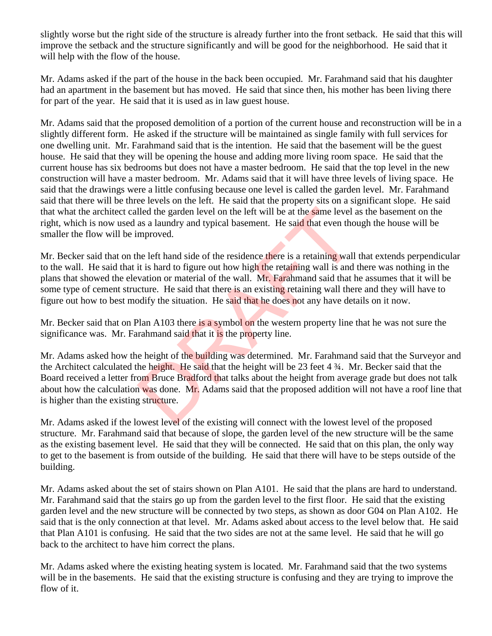slightly worse but the right side of the structure is already further into the front setback. He said that this will improve the setback and the structure significantly and will be good for the neighborhood. He said that it will help with the flow of the house.

Mr. Adams asked if the part of the house in the back been occupied. Mr. Farahmand said that his daughter had an apartment in the basement but has moved. He said that since then, his mother has been living there for part of the year. He said that it is used as in law guest house.

Mr. Adams said that the proposed demolition of a portion of the current house and reconstruction will be in a slightly different form. He asked if the structure will be maintained as single family with full services for one dwelling unit. Mr. Farahmand said that is the intention. He said that the basement will be the guest house. He said that they will be opening the house and adding more living room space. He said that the current house has six bedrooms but does not have a master bedroom. He said that the top level in the new construction will have a master bedroom. Mr. Adams said that it will have three levels of living space. He said that the drawings were a little confusing because one level is called the garden level. Mr. Farahmand said that there will be three levels on the left. He said that the property sits on a significant slope. He said that what the architect called the garden level on the left will be at the same level as the basement on the right, which is now used as a laundry and typical basement. He said that even though the house will be smaller the flow will be improved.

Mr. Becker said that on the left hand side of the residence there is a retaining wall that extends perpendicular to the wall. He said that it is hard to figure out how high the retaining wall is and there was nothing in the plans that showed the elevation or material of the wall. Mr. Farahmand said that he assumes that it will be some type of cement structure. He said that there is an existing retaining wall there and they will have to figure out how to best modify the situation. He said that he does not any have details on it now. lled the garden level on the left will be at the same level as a laundry and typical basement. He said that even tho mproved.<br>
he left hand side of the residence there is a retaining wall it is hard to figure out how high

Mr. Becker said that on Plan A103 there is a symbol on the western property line that he was not sure the significance was. Mr. Farahmand said that it is the property line.

Mr. Adams asked how the height of the building was determined. Mr. Farahmand said that the Surveyor and the Architect calculated the height. He said that the height will be 23 feet 4 ¾. Mr. Becker said that the Board received a letter from Bruce Bradford that talks about the height from average grade but does not talk about how the calculation was done. Mr. Adams said that the proposed addition will not have a roof line that is higher than the existing structure.

Mr. Adams asked if the lowest level of the existing will connect with the lowest level of the proposed structure. Mr. Farahmand said that because of slope, the garden level of the new structure will be the same as the existing basement level. He said that they will be connected. He said that on this plan, the only way to get to the basement is from outside of the building. He said that there will have to be steps outside of the building.

Mr. Adams asked about the set of stairs shown on Plan A101. He said that the plans are hard to understand. Mr. Farahmand said that the stairs go up from the garden level to the first floor. He said that the existing garden level and the new structure will be connected by two steps, as shown as door G04 on Plan A102. He said that is the only connection at that level. Mr. Adams asked about access to the level below that. He said that Plan A101 is confusing. He said that the two sides are not at the same level. He said that he will go back to the architect to have him correct the plans.

Mr. Adams asked where the existing heating system is located. Mr. Farahmand said that the two systems will be in the basements. He said that the existing structure is confusing and they are trying to improve the flow of it.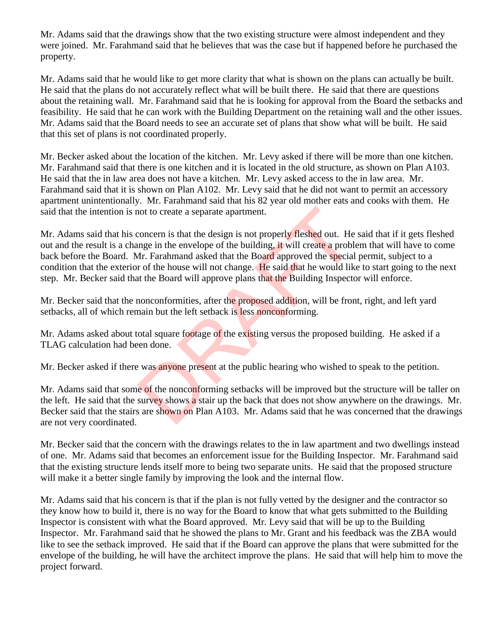Mr. Adams said that the drawings show that the two existing structure were almost independent and they were joined. Mr. Farahmand said that he believes that was the case but if happened before he purchased the property.

Mr. Adams said that he would like to get more clarity that what is shown on the plans can actually be built. He said that the plans do not accurately reflect what will be built there. He said that there are questions about the retaining wall. Mr. Farahmand said that he is looking for approval from the Board the setbacks and feasibility. He said that he can work with the Building Department on the retaining wall and the other issues. Mr. Adams said that the Board needs to see an accurate set of plans that show what will be built. He said that this set of plans is not coordinated properly.

Mr. Becker asked about the location of the kitchen. Mr. Levy asked if there will be more than one kitchen. Mr. Farahmand said that there is one kitchen and it is located in the old structure, as shown on Plan A103. He said that the in law area does not have a kitchen. Mr. Levy asked access to the in law area. Mr. Farahmand said that it is shown on Plan A102. Mr. Levy said that he did not want to permit an accessory apartment unintentionally. Mr. Farahmand said that his 82 year old mother eats and cooks with them. He said that the intention is not to create a separate apartment.

Mr. Adams said that his concern is that the design is not properly fleshed out. He said that if it gets fleshed out and the result is a change in the envelope of the building, it will create a problem that will have to come back before the Board. Mr. Farahmand asked that the Board approved the special permit, subject to a condition that the exterior of the house will not change. He said that he would like to start going to the next step. Mr. Becker said that the Board will approve plans that the Building Inspector will enforce. not to create a separate apartment.<br>
concern is that the design is not properly fleshed out. He<br>
mge in the envelope of the building, it will create a problem<br>
Ar. Farahmand asked that the Board approved the special<br>
r of

Mr. Becker said that the nonconformities, after the proposed addition, will be front, right, and left yard setbacks, all of which remain but the left setback is less nonconforming.

Mr. Adams asked about total square footage of the existing versus the proposed building. He asked if a TLAG calculation had been done.

Mr. Becker asked if there was anyone present at the public hearing who wished to speak to the petition.

Mr. Adams said that some of the nonconforming setbacks will be improved but the structure will be taller on the left. He said that the survey shows a stair up the back that does not show anywhere on the drawings. Mr. Becker said that the stairs are shown on Plan A103. Mr. Adams said that he was concerned that the drawings are not very coordinated.

Mr. Becker said that the concern with the drawings relates to the in law apartment and two dwellings instead of one. Mr. Adams said that becomes an enforcement issue for the Building Inspector. Mr. Farahmand said that the existing structure lends itself more to being two separate units. He said that the proposed structure will make it a better single family by improving the look and the internal flow.

Mr. Adams said that his concern is that if the plan is not fully vetted by the designer and the contractor so they know how to build it, there is no way for the Board to know that what gets submitted to the Building Inspector is consistent with what the Board approved. Mr. Levy said that will be up to the Building Inspector. Mr. Farahmand said that he showed the plans to Mr. Grant and his feedback was the ZBA would like to see the setback improved. He said that if the Board can approve the plans that were submitted for the envelope of the building, he will have the architect improve the plans. He said that will help him to move the project forward.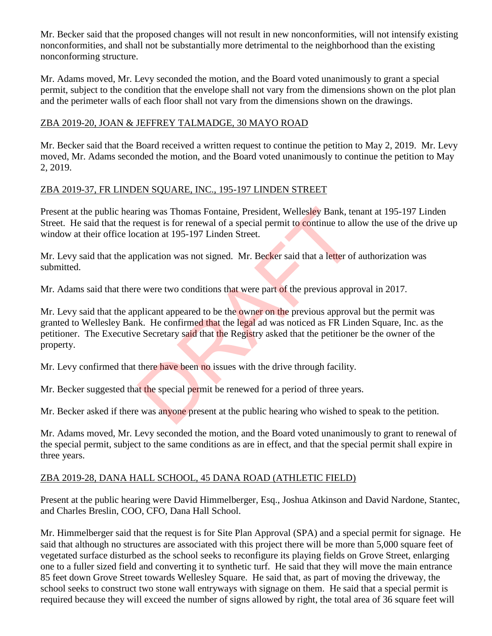Mr. Becker said that the proposed changes will not result in new nonconformities, will not intensify existing nonconformities, and shall not be substantially more detrimental to the neighborhood than the existing nonconforming structure.

Mr. Adams moved, Mr. Levy seconded the motion, and the Board voted unanimously to grant a special permit, subject to the condition that the envelope shall not vary from the dimensions shown on the plot plan and the perimeter walls of each floor shall not vary from the dimensions shown on the drawings.

#### ZBA 2019-20, JOAN & JEFFREY TALMADGE, 30 MAYO ROAD

Mr. Becker said that the Board received a written request to continue the petition to May 2, 2019. Mr. Levy moved, Mr. Adams seconded the motion, and the Board voted unanimously to continue the petition to May 2, 2019.

#### ZBA 2019-37, FR LINDEN SQUARE, INC., 195-197 LINDEN STREET

Present at the public hearing was Thomas Fontaine, President, Wellesley Bank, tenant at 195-197 Linden Street. He said that the request is for renewal of a special permit to continue to allow the use of the drive up window at their office location at 195-197 Linden Street.

Mr. Levy said that the application was not signed. Mr. Becker said that a letter of authorization was submitted.

Mr. Adams said that there were two conditions that were part of the previous approval in 2017.

Mr. Levy said that the applicant appeared to be the owner on the previous approval but the permit was granted to Wellesley Bank. He confirmed that the legal ad was noticed as FR Linden Square, Inc. as the petitioner. The Executive Secretary said that the Registry asked that the petitioner be the owner of the property. ing was Thomas Fontaine, President, Wellesley Bank, te<br>equest is for renewal of a special permit to continue to all<br>cation at 195-197 Linden Street.<br>plication was not signed. Mr. Becker said that a letter of<br>e were two con

Mr. Levy confirmed that there have been no issues with the drive through facility.

Mr. Becker suggested that the special permit be renewed for a period of three years.

Mr. Becker asked if there was anyone present at the public hearing who wished to speak to the petition.

Mr. Adams moved, Mr. Levy seconded the motion, and the Board voted unanimously to grant to renewal of the special permit, subject to the same conditions as are in effect, and that the special permit shall expire in three years.

## ZBA 2019-28, DANA HALL SCHOOL, 45 DANA ROAD (ATHLETIC FIELD)

Present at the public hearing were David Himmelberger, Esq., Joshua Atkinson and David Nardone, Stantec, and Charles Breslin, COO, CFO, Dana Hall School.

Mr. Himmelberger said that the request is for Site Plan Approval (SPA) and a special permit for signage. He said that although no structures are associated with this project there will be more than 5,000 square feet of vegetated surface disturbed as the school seeks to reconfigure its playing fields on Grove Street, enlarging one to a fuller sized field and converting it to synthetic turf. He said that they will move the main entrance 85 feet down Grove Street towards Wellesley Square. He said that, as part of moving the driveway, the school seeks to construct two stone wall entryways with signage on them. He said that a special permit is required because they will exceed the number of signs allowed by right, the total area of 36 square feet will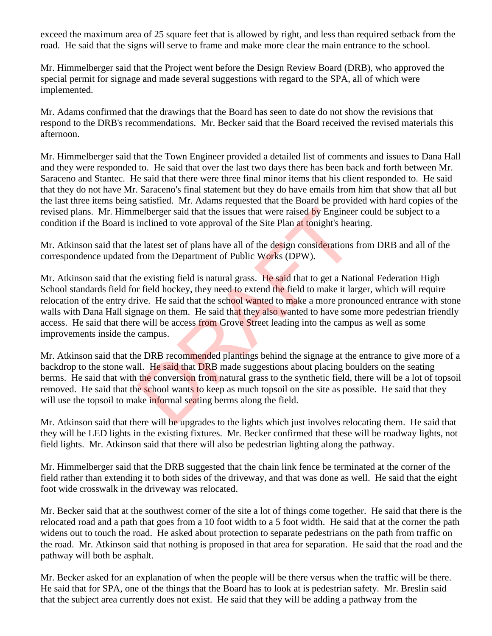exceed the maximum area of 25 square feet that is allowed by right, and less than required setback from the road. He said that the signs will serve to frame and make more clear the main entrance to the school.

Mr. Himmelberger said that the Project went before the Design Review Board (DRB), who approved the special permit for signage and made several suggestions with regard to the SPA, all of which were implemented.

Mr. Adams confirmed that the drawings that the Board has seen to date do not show the revisions that respond to the DRB's recommendations. Mr. Becker said that the Board received the revised materials this afternoon.

Mr. Himmelberger said that the Town Engineer provided a detailed list of comments and issues to Dana Hall and they were responded to. He said that over the last two days there has been back and forth between Mr. Saraceno and Stantec. He said that there were three final minor items that his client responded to. He said that they do not have Mr. Saraceno's final statement but they do have emails from him that show that all but the last three items being satisfied. Mr. Adams requested that the Board be provided with hard copies of the revised plans. Mr. Himmelberger said that the issues that were raised by Engineer could be subject to a condition if the Board is inclined to vote approval of the Site Plan at tonight's hearing.

Mr. Atkinson said that the latest set of plans have all of the design considerations from DRB and all of the correspondence updated from the Department of Public Works (DPW).

Mr. Atkinson said that the existing field is natural grass. He said that to get a National Federation High School standards field for field hockey, they need to extend the field to make it larger, which will require relocation of the entry drive. He said that the school wanted to make a more pronounced entrance with stone walls with Dana Hall signage on them. He said that they also wanted to have some more pedestrian friendly access. He said that there will be access from Grove Street leading into the campus as well as some improvements inside the campus. nelberger said that the issues that were raised by Engineer<br>inclined to vote approval of the Site Plan at tonight's hear<br>e latest set of plans have all of the design considerations<br>from the Department of Public Works (DPW)

Mr. Atkinson said that the DRB recommended plantings behind the signage at the entrance to give more of a backdrop to the stone wall. He said that DRB made suggestions about placing boulders on the seating berms. He said that with the conversion from natural grass to the synthetic field, there will be a lot of topsoil removed. He said that the school wants to keep as much topsoil on the site as possible. He said that they will use the topsoil to make informal seating berms along the field.

Mr. Atkinson said that there will be upgrades to the lights which just involves relocating them. He said that they will be LED lights in the existing fixtures. Mr. Becker confirmed that these will be roadway lights, not field lights. Mr. Atkinson said that there will also be pedestrian lighting along the pathway.

Mr. Himmelberger said that the DRB suggested that the chain link fence be terminated at the corner of the field rather than extending it to both sides of the driveway, and that was done as well. He said that the eight foot wide crosswalk in the driveway was relocated.

Mr. Becker said that at the southwest corner of the site a lot of things come together. He said that there is the relocated road and a path that goes from a 10 foot width to a 5 foot width. He said that at the corner the path widens out to touch the road. He asked about protection to separate pedestrians on the path from traffic on the road. Mr. Atkinson said that nothing is proposed in that area for separation. He said that the road and the pathway will both be asphalt.

Mr. Becker asked for an explanation of when the people will be there versus when the traffic will be there. He said that for SPA, one of the things that the Board has to look at is pedestrian safety. Mr. Breslin said that the subject area currently does not exist. He said that they will be adding a pathway from the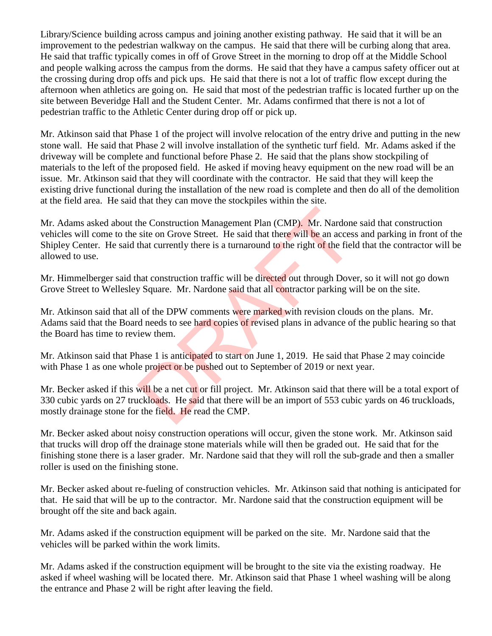Library/Science building across campus and joining another existing pathway. He said that it will be an improvement to the pedestrian walkway on the campus. He said that there will be curbing along that area. He said that traffic typically comes in off of Grove Street in the morning to drop off at the Middle School and people walking across the campus from the dorms. He said that they have a campus safety officer out at the crossing during drop offs and pick ups. He said that there is not a lot of traffic flow except during the afternoon when athletics are going on. He said that most of the pedestrian traffic is located further up on the site between Beveridge Hall and the Student Center. Mr. Adams confirmed that there is not a lot of pedestrian traffic to the Athletic Center during drop off or pick up.

Mr. Atkinson said that Phase 1 of the project will involve relocation of the entry drive and putting in the new stone wall. He said that Phase 2 will involve installation of the synthetic turf field. Mr. Adams asked if the driveway will be complete and functional before Phase 2. He said that the plans show stockpiling of materials to the left of the proposed field. He asked if moving heavy equipment on the new road will be an issue. Mr. Atkinson said that they will coordinate with the contractor. He said that they will keep the existing drive functional during the installation of the new road is complete and then do all of the demolition at the field area. He said that they can move the stockpiles within the site.

Mr. Adams asked about the Construction Management Plan (CMP). Mr. Nardone said that construction vehicles will come to the site on Grove Street. He said that there will be an access and parking in front of the Shipley Center. He said that currently there is a turnaround to the right of the field that the contractor will be allowed to use. the Construction Management Plan (CMP). Mr. Nardone<br>site on Grove Street. He said that there will be an access<br>that currently there is a turnaround to the right of the field<br>hat construction traffic will be directed out th

Mr. Himmelberger said that construction traffic will be directed out through Dover, so it will not go down Grove Street to Wellesley Square. Mr. Nardone said that all contractor parking will be on the site.

Mr. Atkinson said that all of the DPW comments were marked with revision clouds on the plans. Mr. Adams said that the Board needs to see hard copies of revised plans in advance of the public hearing so that the Board has time to review them.

Mr. Atkinson said that Phase 1 is anticipated to start on June 1, 2019. He said that Phase 2 may coincide with Phase 1 as one whole project or be pushed out to September of 2019 or next year.

Mr. Becker asked if this will be a net cut or fill project. Mr. Atkinson said that there will be a total export of 330 cubic yards on 27 truckloads. He said that there will be an import of 553 cubic yards on 46 truckloads, mostly drainage stone for the field. He read the CMP.

Mr. Becker asked about noisy construction operations will occur, given the stone work. Mr. Atkinson said that trucks will drop off the drainage stone materials while will then be graded out. He said that for the finishing stone there is a laser grader. Mr. Nardone said that they will roll the sub-grade and then a smaller roller is used on the finishing stone.

Mr. Becker asked about re-fueling of construction vehicles. Mr. Atkinson said that nothing is anticipated for that. He said that will be up to the contractor. Mr. Nardone said that the construction equipment will be brought off the site and back again.

Mr. Adams asked if the construction equipment will be parked on the site. Mr. Nardone said that the vehicles will be parked within the work limits.

Mr. Adams asked if the construction equipment will be brought to the site via the existing roadway. He asked if wheel washing will be located there. Mr. Atkinson said that Phase 1 wheel washing will be along the entrance and Phase 2 will be right after leaving the field.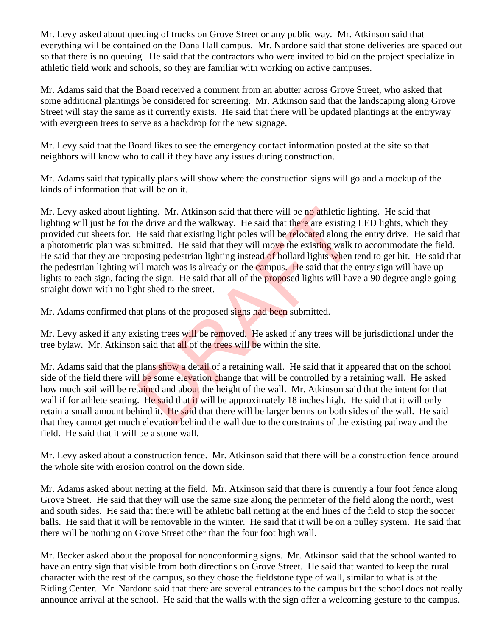Mr. Levy asked about queuing of trucks on Grove Street or any public way. Mr. Atkinson said that everything will be contained on the Dana Hall campus. Mr. Nardone said that stone deliveries are spaced out so that there is no queuing. He said that the contractors who were invited to bid on the project specialize in athletic field work and schools, so they are familiar with working on active campuses.

Mr. Adams said that the Board received a comment from an abutter across Grove Street, who asked that some additional plantings be considered for screening. Mr. Atkinson said that the landscaping along Grove Street will stay the same as it currently exists. He said that there will be updated plantings at the entryway with evergreen trees to serve as a backdrop for the new signage.

Mr. Levy said that the Board likes to see the emergency contact information posted at the site so that neighbors will know who to call if they have any issues during construction.

Mr. Adams said that typically plans will show where the construction signs will go and a mockup of the kinds of information that will be on it.

Mr. Levy asked about lighting. Mr. Atkinson said that there will be no athletic lighting. He said that lighting will just be for the drive and the walkway. He said that there are existing LED lights, which they provided cut sheets for. He said that existing light poles will be relocated along the entry drive. He said that a photometric plan was submitted. He said that they will move the existing walk to accommodate the field. He said that they are proposing pedestrian lighting instead of bollard lights when tend to get hit. He said that the pedestrian lighting will match was is already on the campus. He said that the entry sign will have up lights to each sign, facing the sign. He said that all of the proposed lights will have a 90 degree angle going straight down with no light shed to the street. hting. Mr. Atkinson said that there will be no athletic ligntleright that there are existing He said that existing light poles will be relocated along the ubmitted. He said that they will move the existing walk ubosing ped

Mr. Adams confirmed that plans of the proposed signs had been submitted.

Mr. Levy asked if any existing trees will be removed. He asked if any trees will be jurisdictional under the tree bylaw. Mr. Atkinson said that all of the trees will be within the site.

Mr. Adams said that the plans show a detail of a retaining wall. He said that it appeared that on the school side of the field there will be some elevation change that will be controlled by a retaining wall. He asked how much soil will be retained and about the height of the wall. Mr. Atkinson said that the intent for that wall if for athlete seating. He said that it will be approximately 18 inches high. He said that it will only retain a small amount behind it. He said that there will be larger berms on both sides of the wall. He said that they cannot get much elevation behind the wall due to the constraints of the existing pathway and the field. He said that it will be a stone wall.

Mr. Levy asked about a construction fence. Mr. Atkinson said that there will be a construction fence around the whole site with erosion control on the down side.

Mr. Adams asked about netting at the field. Mr. Atkinson said that there is currently a four foot fence along Grove Street. He said that they will use the same size along the perimeter of the field along the north, west and south sides. He said that there will be athletic ball netting at the end lines of the field to stop the soccer balls. He said that it will be removable in the winter. He said that it will be on a pulley system. He said that there will be nothing on Grove Street other than the four foot high wall.

Mr. Becker asked about the proposal for nonconforming signs. Mr. Atkinson said that the school wanted to have an entry sign that visible from both directions on Grove Street. He said that wanted to keep the rural character with the rest of the campus, so they chose the fieldstone type of wall, similar to what is at the Riding Center. Mr. Nardone said that there are several entrances to the campus but the school does not really announce arrival at the school. He said that the walls with the sign offer a welcoming gesture to the campus.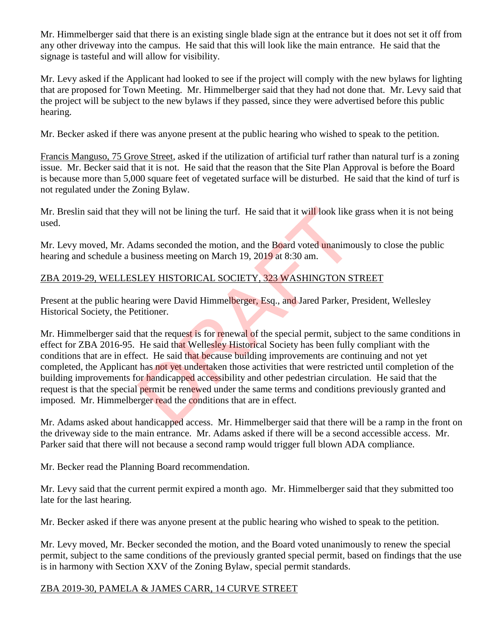Mr. Himmelberger said that there is an existing single blade sign at the entrance but it does not set it off from any other driveway into the campus. He said that this will look like the main entrance. He said that the signage is tasteful and will allow for visibility.

Mr. Levy asked if the Applicant had looked to see if the project will comply with the new bylaws for lighting that are proposed for Town Meeting. Mr. Himmelberger said that they had not done that. Mr. Levy said that the project will be subject to the new bylaws if they passed, since they were advertised before this public hearing.

Mr. Becker asked if there was anyone present at the public hearing who wished to speak to the petition.

Francis Manguso, 75 Grove Street, asked if the utilization of artificial turf rather than natural turf is a zoning issue. Mr. Becker said that it is not. He said that the reason that the Site Plan Approval is before the Board is because more than 5,000 square feet of vegetated surface will be disturbed. He said that the kind of turf is not regulated under the Zoning Bylaw.

Mr. Breslin said that they will not be lining the turf. He said that it will look like grass when it is not being used.

Mr. Levy moved, Mr. Adams seconded the motion, and the Board voted unanimously to close the public hearing and schedule a business meeting on March 19, 2019 at 8:30 am.

# ZBA 2019-29, WELLESLEY HISTORICAL SOCIETY, 323 WASHINGTON STREET

Present at the public hearing were David Himmelberger, Esq., and Jared Parker, President, Wellesley Historical Society, the Petitioner.

Mr. Himmelberger said that the request is for renewal of the special permit, subject to the same conditions in effect for ZBA 2016-95. He said that Wellesley Historical Society has been fully compliant with the conditions that are in effect. He said that because building improvements are continuing and not yet completed, the Applicant has not yet undertaken those activities that were restricted until completion of the building improvements for handicapped accessibility and other pedestrian circulation. He said that the request is that the special permit be renewed under the same terms and conditions previously granted and imposed. Mr. Himmelberger read the conditions that are in effect. will not be lining the turf. He said that it will look like<br>lams seconded the motion, and the Board voted unanimo<br>usiness meeting on March 19, 2019 at 8:30 am.<br>LEY HISTORICAL SOCIETY, 323 WASHINGTON ST<br>ing were David Himme

Mr. Adams asked about handicapped access. Mr. Himmelberger said that there will be a ramp in the front on the driveway side to the main entrance. Mr. Adams asked if there will be a second accessible access. Mr. Parker said that there will not because a second ramp would trigger full blown ADA compliance.

Mr. Becker read the Planning Board recommendation.

Mr. Levy said that the current permit expired a month ago. Mr. Himmelberger said that they submitted too late for the last hearing.

Mr. Becker asked if there was anyone present at the public hearing who wished to speak to the petition.

Mr. Levy moved, Mr. Becker seconded the motion, and the Board voted unanimously to renew the special permit, subject to the same conditions of the previously granted special permit, based on findings that the use is in harmony with Section XXV of the Zoning Bylaw, special permit standards.

## ZBA 2019-30, PAMELA & JAMES CARR, 14 CURVE STREET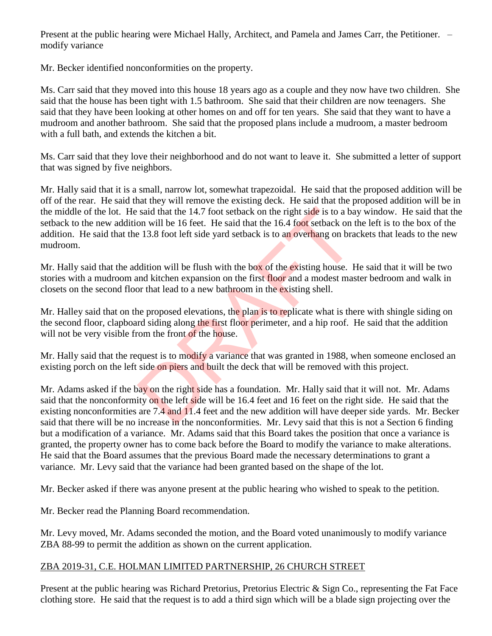Present at the public hearing were Michael Hally, Architect, and Pamela and James Carr, the Petitioner. – modify variance

Mr. Becker identified nonconformities on the property.

Ms. Carr said that they moved into this house 18 years ago as a couple and they now have two children. She said that the house has been tight with 1.5 bathroom. She said that their children are now teenagers. She said that they have been looking at other homes on and off for ten years. She said that they want to have a mudroom and another bathroom. She said that the proposed plans include a mudroom, a master bedroom with a full bath, and extends the kitchen a bit.

Ms. Carr said that they love their neighborhood and do not want to leave it. She submitted a letter of support that was signed by five neighbors.

Mr. Hally said that it is a small, narrow lot, somewhat trapezoidal. He said that the proposed addition will be off of the rear. He said that they will remove the existing deck. He said that the proposed addition will be in the middle of the lot. He said that the 14.7 foot setback on the right side is to a bay window. He said that the setback to the new addition will be 16 feet. He said that the 16.4 foot setback on the left is to the box of the addition. He said that the 13.8 foot left side yard setback is to an overhang on brackets that leads to the new mudroom. said that the 14.7 foot setback on the right side is to a ba<br>on will be 16 feet. He said that the 16.4 foot setback on the 13.8 foot left side yard setback is to an overhang on bra<br>a 13.8 foot left side yard setback is to

Mr. Hally said that the addition will be flush with the box of the existing house. He said that it will be two stories with a mudroom and kitchen expansion on the first floor and a modest master bedroom and walk in closets on the second floor that lead to a new bathroom in the existing shell.

Mr. Halley said that on the proposed elevations, the plan is to replicate what is there with shingle siding on the second floor, clapboard siding along the first floor perimeter, and a hip roof. He said that the addition will not be very visible from the front of the house.

Mr. Hally said that the request is to modify a variance that was granted in 1988, when someone enclosed an existing porch on the left side on piers and built the deck that will be removed with this project.

Mr. Adams asked if the bay on the right side has a foundation. Mr. Hally said that it will not. Mr. Adams said that the nonconformity on the left side will be 16.4 feet and 16 feet on the right side. He said that the existing nonconformities are 7.4 and 11.4 feet and the new addition will have deeper side yards. Mr. Becker said that there will be no increase in the nonconformities. Mr. Levy said that this is not a Section 6 finding but a modification of a variance. Mr. Adams said that this Board takes the position that once a variance is granted, the property owner has to come back before the Board to modify the variance to make alterations. He said that the Board assumes that the previous Board made the necessary determinations to grant a variance. Mr. Levy said that the variance had been granted based on the shape of the lot.

Mr. Becker asked if there was anyone present at the public hearing who wished to speak to the petition.

Mr. Becker read the Planning Board recommendation.

Mr. Levy moved, Mr. Adams seconded the motion, and the Board voted unanimously to modify variance ZBA 88-99 to permit the addition as shown on the current application.

## ZBA 2019-31, C.E. HOLMAN LIMITED PARTNERSHIP, 26 CHURCH STREET

Present at the public hearing was Richard Pretorius, Pretorius Electric & Sign Co., representing the Fat Face clothing store. He said that the request is to add a third sign which will be a blade sign projecting over the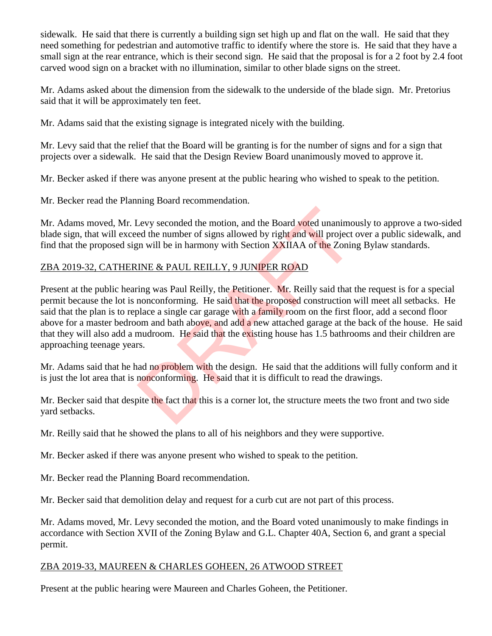sidewalk. He said that there is currently a building sign set high up and flat on the wall. He said that they need something for pedestrian and automotive traffic to identify where the store is. He said that they have a small sign at the rear entrance, which is their second sign. He said that the proposal is for a 2 foot by 2.4 foot carved wood sign on a bracket with no illumination, similar to other blade signs on the street.

Mr. Adams asked about the dimension from the sidewalk to the underside of the blade sign. Mr. Pretorius said that it will be approximately ten feet.

Mr. Adams said that the existing signage is integrated nicely with the building.

Mr. Levy said that the relief that the Board will be granting is for the number of signs and for a sign that projects over a sidewalk. He said that the Design Review Board unanimously moved to approve it.

Mr. Becker asked if there was anyone present at the public hearing who wished to speak to the petition.

Mr. Becker read the Planning Board recommendation.

Mr. Adams moved, Mr. Levy seconded the motion, and the Board voted unanimously to approve a two-sided blade sign, that will exceed the number of signs allowed by right and will project over a public sidewalk, and find that the proposed sign will be in harmony with Section XXIIAA of the Zoning Bylaw standards.

# ZBA 2019-32, CATHERINE & PAUL REILLY, 9 JUNIPER ROAD

Present at the public hearing was Paul Reilly, the Petitioner. Mr. Reilly said that the request is for a special permit because the lot is nonconforming. He said that the proposed construction will meet all setbacks. He said that the plan is to replace a single car garage with a family room on the first floor, add a second floor above for a master bedroom and bath above, and add a new attached garage at the back of the house. He said that they will also add a mudroom. He said that the existing house has 1.5 bathrooms and their children are approaching teenage years. Levy seconded the motion, and the Board voted unanimoted the number of signs allowed by right and will project in will be in harmony with Section XXIIAA of the Zonin INE & PAUL REILLY, 9 JUNIPER ROAD ing was Paul Reilly, t

Mr. Adams said that he had no problem with the design. He said that the additions will fully conform and it is just the lot area that is nonconforming. He said that it is difficult to read the drawings.

Mr. Becker said that despite the fact that this is a corner lot, the structure meets the two front and two side yard setbacks.

Mr. Reilly said that he showed the plans to all of his neighbors and they were supportive.

Mr. Becker asked if there was anyone present who wished to speak to the petition.

Mr. Becker read the Planning Board recommendation.

Mr. Becker said that demolition delay and request for a curb cut are not part of this process.

Mr. Adams moved, Mr. Levy seconded the motion, and the Board voted unanimously to make findings in accordance with Section XVII of the Zoning Bylaw and G.L. Chapter 40A, Section 6, and grant a special permit.

#### ZBA 2019-33, MAUREEN & CHARLES GOHEEN, 26 ATWOOD STREET

Present at the public hearing were Maureen and Charles Goheen, the Petitioner.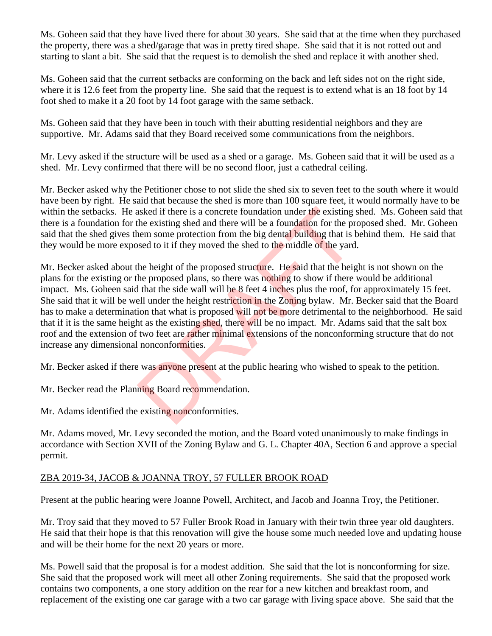Ms. Goheen said that they have lived there for about 30 years. She said that at the time when they purchased the property, there was a shed/garage that was in pretty tired shape. She said that it is not rotted out and starting to slant a bit. She said that the request is to demolish the shed and replace it with another shed.

Ms. Goheen said that the current setbacks are conforming on the back and left sides not on the right side, where it is 12.6 feet from the property line. She said that the request is to extend what is an 18 foot by 14 foot shed to make it a 20 foot by 14 foot garage with the same setback.

Ms. Goheen said that they have been in touch with their abutting residential neighbors and they are supportive. Mr. Adams said that they Board received some communications from the neighbors.

Mr. Levy asked if the structure will be used as a shed or a garage. Ms. Goheen said that it will be used as a shed. Mr. Levy confirmed that there will be no second floor, just a cathedral ceiling.

Mr. Becker asked why the Petitioner chose to not slide the shed six to seven feet to the south where it would have been by right. He said that because the shed is more than 100 square feet, it would normally have to be within the setbacks. He asked if there is a concrete foundation under the existing shed. Ms. Goheen said that there is a foundation for the existing shed and there will be a foundation for the proposed shed. Mr. Goheen said that the shed gives them some protection from the big dental building that is behind them. He said that they would be more exposed to it if they moved the shed to the middle of the yard.

Mr. Becker asked about the height of the proposed structure. He said that the height is not shown on the plans for the existing or the proposed plans, so there was nothing to show if there would be additional impact. Ms. Goheen said that the side wall will be 8 feet 4 inches plus the roof, for approximately 15 feet. She said that it will be well under the height restriction in the Zoning bylaw. Mr. Becker said that the Board has to make a determination that what is proposed will not be more detrimental to the neighborhood. He said that if it is the same height as the existing shed, there will be no impact. Mr. Adams said that the salt box roof and the extension of two feet are rather minimal extensions of the nonconforming structure that do not increase any dimensional nonconformities. asked if there is a concrete foundation under the existing<br>the existing shed and there will be a foundation for the pr<br>nem some protection from the big dental building that is<br>losed to it if they moved the shed to the midd

Mr. Becker asked if there was anyone present at the public hearing who wished to speak to the petition.

Mr. Becker read the Planning Board recommendation.

Mr. Adams identified the existing nonconformities.

Mr. Adams moved, Mr. Levy seconded the motion, and the Board voted unanimously to make findings in accordance with Section XVII of the Zoning Bylaw and G. L. Chapter 40A, Section 6 and approve a special permit.

## ZBA 2019-34, JACOB & JOANNA TROY, 57 FULLER BROOK ROAD

Present at the public hearing were Joanne Powell, Architect, and Jacob and Joanna Troy, the Petitioner.

Mr. Troy said that they moved to 57 Fuller Brook Road in January with their twin three year old daughters. He said that their hope is that this renovation will give the house some much needed love and updating house and will be their home for the next 20 years or more.

Ms. Powell said that the proposal is for a modest addition. She said that the lot is nonconforming for size. She said that the proposed work will meet all other Zoning requirements. She said that the proposed work contains two components, a one story addition on the rear for a new kitchen and breakfast room, and replacement of the existing one car garage with a two car garage with living space above. She said that the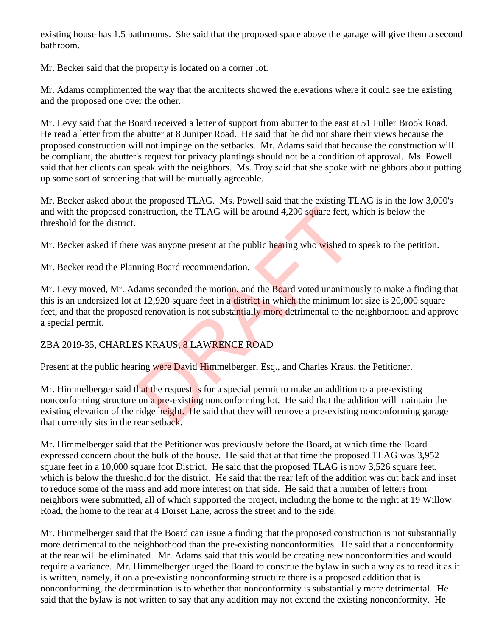existing house has 1.5 bathrooms. She said that the proposed space above the garage will give them a second bathroom.

Mr. Becker said that the property is located on a corner lot.

Mr. Adams complimented the way that the architects showed the elevations where it could see the existing and the proposed one over the other.

Mr. Levy said that the Board received a letter of support from abutter to the east at 51 Fuller Brook Road. He read a letter from the abutter at 8 Juniper Road. He said that he did not share their views because the proposed construction will not impinge on the setbacks. Mr. Adams said that because the construction will be compliant, the abutter's request for privacy plantings should not be a condition of approval. Ms. Powell said that her clients can speak with the neighbors. Ms. Troy said that she spoke with neighbors about putting up some sort of screening that will be mutually agreeable.

Mr. Becker asked about the proposed TLAG. Ms. Powell said that the existing TLAG is in the low 3,000's and with the proposed construction, the TLAG will be around 4,200 square feet, which is below the threshold for the district.

Mr. Becker asked if there was anyone present at the public hearing who wished to speak to the petition.

Mr. Becker read the Planning Board recommendation.

Mr. Levy moved, Mr. Adams seconded the motion, and the Board voted unanimously to make a finding that this is an undersized lot at 12,920 square feet in a district in which the minimum lot size is 20,000 square feet, and that the proposed renovation is not substantially more detrimental to the neighborhood and approve a special permit. nstruction, the TLAG will be around 4,200 square feet, v<br>
was anyone present at the public hearing who wished to<br>
ning Board recommendation.<br>
lams seconded the motion, and the Board voted unanimo<br>
ing a Board recommendatio

# ZBA 2019-35, CHARLES KRAUS, 8 LAWRENCE ROAD

Present at the public hearing were David Himmelberger, Esq., and Charles Kraus, the Petitioner.

Mr. Himmelberger said that the request is for a special permit to make an addition to a pre-existing nonconforming structure on a pre-existing nonconforming lot. He said that the addition will maintain the existing elevation of the ridge height. He said that they will remove a pre-existing nonconforming garage that currently sits in the rear setback.

Mr. Himmelberger said that the Petitioner was previously before the Board, at which time the Board expressed concern about the bulk of the house. He said that at that time the proposed TLAG was 3,952 square feet in a 10,000 square foot District. He said that the proposed TLAG is now 3,526 square feet, which is below the threshold for the district. He said that the rear left of the addition was cut back and inset to reduce some of the mass and add more interest on that side. He said that a number of letters from neighbors were submitted, all of which supported the project, including the home to the right at 19 Willow Road, the home to the rear at 4 Dorset Lane, across the street and to the side.

Mr. Himmelberger said that the Board can issue a finding that the proposed construction is not substantially more detrimental to the neighborhood than the pre-existing nonconformities. He said that a nonconformity at the rear will be eliminated. Mr. Adams said that this would be creating new nonconformities and would require a variance. Mr. Himmelberger urged the Board to construe the bylaw in such a way as to read it as it is written, namely, if on a pre-existing nonconforming structure there is a proposed addition that is nonconforming, the determination is to whether that nonconformity is substantially more detrimental. He said that the bylaw is not written to say that any addition may not extend the existing nonconformity. He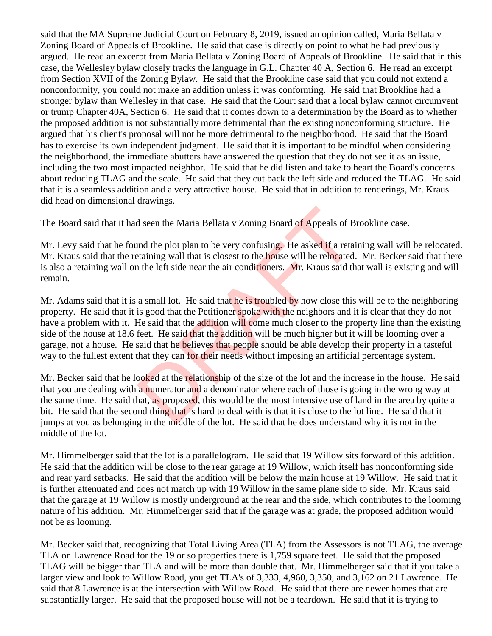said that the MA Supreme Judicial Court on February 8, 2019, issued an opinion called, Maria Bellata v Zoning Board of Appeals of Brookline. He said that case is directly on point to what he had previously argued. He read an excerpt from Maria Bellata v Zoning Board of Appeals of Brookline. He said that in this case, the Wellesley bylaw closely tracks the language in G.L. Chapter 40 A, Section 6. He read an excerpt from Section XVII of the Zoning Bylaw. He said that the Brookline case said that you could not extend a nonconformity, you could not make an addition unless it was conforming. He said that Brookline had a stronger bylaw than Wellesley in that case. He said that the Court said that a local bylaw cannot circumvent or trump Chapter 40A, Section 6. He said that it comes down to a determination by the Board as to whether the proposed addition is not substantially more detrimental than the existing nonconforming structure. He argued that his client's proposal will not be more detrimental to the neighborhood. He said that the Board has to exercise its own independent judgment. He said that it is important to be mindful when considering the neighborhood, the immediate abutters have answered the question that they do not see it as an issue, including the two most impacted neighbor. He said that he did listen and take to heart the Board's concerns about reducing TLAG and the scale. He said that they cut back the left side and reduced the TLAG. He said that it is a seamless addition and a very attractive house. He said that in addition to renderings, Mr. Kraus did head on dimensional drawings.

The Board said that it had seen the Maria Bellata v Zoning Board of Appeals of Brookline case.

Mr. Levy said that he found the plot plan to be very confusing. He asked if a retaining wall will be relocated. Mr. Kraus said that the retaining wall that is closest to the house will be relocated. Mr. Becker said that there is also a retaining wall on the left side near the air conditioners. Mr. Kraus said that wall is existing and will remain.

Mr. Adams said that it is a small lot. He said that he is troubled by how close this will be to the neighboring property. He said that it is good that the Petitioner spoke with the neighbors and it is clear that they do not have a problem with it. He said that the addition will come much closer to the property line than the existing side of the house at 18.6 feet. He said that the addition will be much higher but it will be looming over a garage, not a house. He said that he **believes** that people should be able develop their property in a tasteful way to the fullest extent that they can for their needs without imposing an artificial percentage system. d seen the Maria Bellata v Zoning Board of Appeals of B<br>
and the plot plan to be very confusing. He asked if a retainting wall that is closest to the **house** will be relocated.<br>
a small lot. He said that he is troubled by

Mr. Becker said that he looked at the relationship of the size of the lot and the increase in the house. He said that you are dealing with a numerator and a denominator where each of those is going in the wrong way at the same time. He said that, as proposed, this would be the most intensive use of land in the area by quite a bit. He said that the second thing that is hard to deal with is that it is close to the lot line. He said that it jumps at you as belonging in the middle of the lot. He said that he does understand why it is not in the middle of the lot.

Mr. Himmelberger said that the lot is a parallelogram. He said that 19 Willow sits forward of this addition. He said that the addition will be close to the rear garage at 19 Willow, which itself has nonconforming side and rear yard setbacks. He said that the addition will be below the main house at 19 Willow. He said that it is further attenuated and does not match up with 19 Willow in the same plane side to side. Mr. Kraus said that the garage at 19 Willow is mostly underground at the rear and the side, which contributes to the looming nature of his addition. Mr. Himmelberger said that if the garage was at grade, the proposed addition would not be as looming.

Mr. Becker said that, recognizing that Total Living Area (TLA) from the Assessors is not TLAG, the average TLA on Lawrence Road for the 19 or so properties there is 1,759 square feet. He said that the proposed TLAG will be bigger than TLA and will be more than double that. Mr. Himmelberger said that if you take a larger view and look to Willow Road, you get TLA's of 3,333, 4,960, 3,350, and 3,162 on 21 Lawrence. He said that 8 Lawrence is at the intersection with Willow Road. He said that there are newer homes that are substantially larger. He said that the proposed house will not be a teardown. He said that it is trying to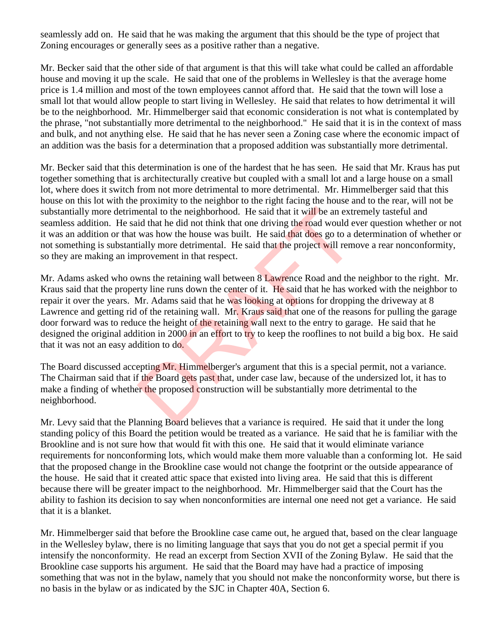seamlessly add on. He said that he was making the argument that this should be the type of project that Zoning encourages or generally sees as a positive rather than a negative.

Mr. Becker said that the other side of that argument is that this will take what could be called an affordable house and moving it up the scale. He said that one of the problems in Wellesley is that the average home price is 1.4 million and most of the town employees cannot afford that. He said that the town will lose a small lot that would allow people to start living in Wellesley. He said that relates to how detrimental it will be to the neighborhood. Mr. Himmelberger said that economic consideration is not what is contemplated by the phrase, "not substantially more detrimental to the neighborhood." He said that it is in the context of mass and bulk, and not anything else. He said that he has never seen a Zoning case where the economic impact of an addition was the basis for a determination that a proposed addition was substantially more detrimental.

Mr. Becker said that this determination is one of the hardest that he has seen. He said that Mr. Kraus has put together something that is architecturally creative but coupled with a small lot and a large house on a small lot, where does it switch from not more detrimental to more detrimental. Mr. Himmelberger said that this house on this lot with the proximity to the neighbor to the right facing the house and to the rear, will not be substantially more detrimental to the neighborhood. He said that it will be an extremely tasteful and seamless addition. He said that he did not think that one driving the road would ever question whether or not it was an addition or that was how the house was built. He said that does go to a determination of whether or not something is substantially more detrimental. He said that the project will remove a rear nonconformity, so they are making an improvement in that respect.

Mr. Adams asked who owns the retaining wall between 8 Lawrence Road and the neighbor to the right. Mr. Kraus said that the property line runs down the center of it. He said that he has worked with the neighbor to repair it over the years. Mr. Adams said that he was looking at options for dropping the driveway at 8 Lawrence and getting rid of the retaining wall. Mr. Kraus said that one of the reasons for pulling the garage door forward was to reduce the height of the retaining wall next to the entry to garage. He said that he designed the original addition in 2000 in an effort to try to keep the rooflines to not build a big box. He said that it was not an easy addition to do. nental to the neighborhood. He said that it will be an extrid that he did not think that one driving the road would e was how the house was built. He said that does go to a consider will rem provement in that respect.<br>
MRS

The Board discussed accepting Mr. Himmelberger's argument that this is a special permit, not a variance. The Chairman said that if the Board gets past that, under case law, because of the undersized lot, it has to make a finding of whether the proposed construction will be substantially more detrimental to the neighborhood.

Mr. Levy said that the Planning Board believes that a variance is required. He said that it under the long standing policy of this Board the petition would be treated as a variance. He said that he is familiar with the Brookline and is not sure how that would fit with this one. He said that it would eliminate variance requirements for nonconforming lots, which would make them more valuable than a conforming lot. He said that the proposed change in the Brookline case would not change the footprint or the outside appearance of the house. He said that it created attic space that existed into living area. He said that this is different because there will be greater impact to the neighborhood. Mr. Himmelberger said that the Court has the ability to fashion its decision to say when nonconformities are internal one need not get a variance. He said that it is a blanket.

Mr. Himmelberger said that before the Brookline case came out, he argued that, based on the clear language in the Wellesley bylaw, there is no limiting language that says that you do not get a special permit if you intensify the nonconformity. He read an excerpt from Section XVII of the Zoning Bylaw. He said that the Brookline case supports his argument. He said that the Board may have had a practice of imposing something that was not in the bylaw, namely that you should not make the nonconformity worse, but there is no basis in the bylaw or as indicated by the SJC in Chapter 40A, Section 6.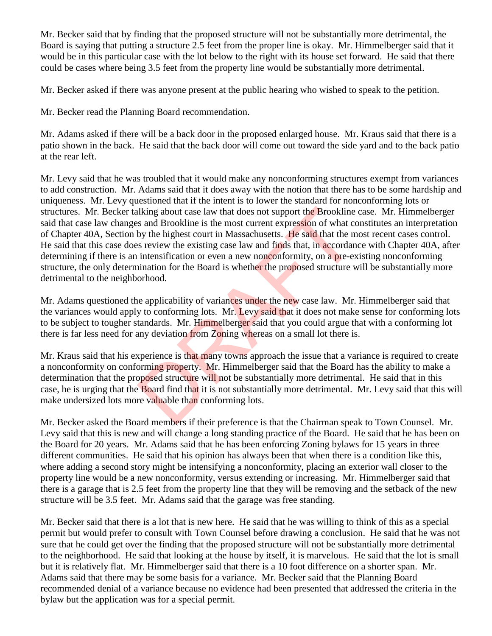Mr. Becker said that by finding that the proposed structure will not be substantially more detrimental, the Board is saying that putting a structure 2.5 feet from the proper line is okay. Mr. Himmelberger said that it would be in this particular case with the lot below to the right with its house set forward. He said that there could be cases where being 3.5 feet from the property line would be substantially more detrimental.

Mr. Becker asked if there was anyone present at the public hearing who wished to speak to the petition.

Mr. Becker read the Planning Board recommendation.

Mr. Adams asked if there will be a back door in the proposed enlarged house. Mr. Kraus said that there is a patio shown in the back. He said that the back door will come out toward the side yard and to the back patio at the rear left.

Mr. Levy said that he was troubled that it would make any nonconforming structures exempt from variances to add construction. Mr. Adams said that it does away with the notion that there has to be some hardship and uniqueness. Mr. Levy questioned that if the intent is to lower the standard for nonconforming lots or structures. Mr. Becker talking about case law that does not support the Brookline case. Mr. Himmelberger said that case law changes and Brookline is the most current expression of what constitutes an interpretation of Chapter 40A, Section by the highest court in Massachusetts. He said that the most recent cases control. He said that this case does review the existing case law and finds that, in accordance with Chapter 40A, after determining if there is an intensification or even a new nonconformity, on a pre-existing nonconforming structure, the only determination for the Board is whether the proposed structure will be substantially more detrimental to the neighborhood. liking about case law that does not support the Brookline<br>s and Brookline is the most current expression of what co<br>by the highest court in Massachusetts. He said that the n<br>s review the existing case law and finds that, i

Mr. Adams questioned the applicability of variances under the new case law. Mr. Himmelberger said that the variances would apply to conforming lots. Mr. Levy said that it does not make sense for conforming lots to be subject to tougher standards. Mr. Himmelberger said that you could argue that with a conforming lot there is far less need for any deviation from Zoning whereas on a small lot there is.

Mr. Kraus said that his experience is that many towns approach the issue that a variance is required to create a nonconformity on conforming property. Mr. Himmelberger said that the Board has the ability to make a determination that the proposed structure will not be substantially more detrimental. He said that in this case, he is urging that the Board find that it is not substantially more detrimental. Mr. Levy said that this will make undersized lots more valuable than conforming lots.

Mr. Becker asked the Board members if their preference is that the Chairman speak to Town Counsel. Mr. Levy said that this is new and will change a long standing practice of the Board. He said that he has been on the Board for 20 years. Mr. Adams said that he has been enforcing Zoning bylaws for 15 years in three different communities. He said that his opinion has always been that when there is a condition like this, where adding a second story might be intensifying a nonconformity, placing an exterior wall closer to the property line would be a new nonconformity, versus extending or increasing. Mr. Himmelberger said that there is a garage that is 2.5 feet from the property line that they will be removing and the setback of the new structure will be 3.5 feet. Mr. Adams said that the garage was free standing.

Mr. Becker said that there is a lot that is new here. He said that he was willing to think of this as a special permit but would prefer to consult with Town Counsel before drawing a conclusion. He said that he was not sure that he could get over the finding that the proposed structure will not be substantially more detrimental to the neighborhood. He said that looking at the house by itself, it is marvelous. He said that the lot is small but it is relatively flat. Mr. Himmelberger said that there is a 10 foot difference on a shorter span. Mr. Adams said that there may be some basis for a variance. Mr. Becker said that the Planning Board recommended denial of a variance because no evidence had been presented that addressed the criteria in the bylaw but the application was for a special permit.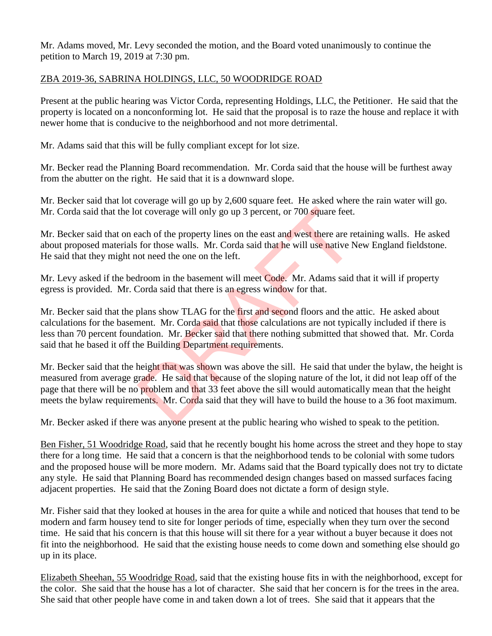Mr. Adams moved, Mr. Levy seconded the motion, and the Board voted unanimously to continue the petition to March 19, 2019 at 7:30 pm.

#### ZBA 2019-36, SABRINA HOLDINGS, LLC, 50 WOODRIDGE ROAD

Present at the public hearing was Victor Corda, representing Holdings, LLC, the Petitioner. He said that the property is located on a nonconforming lot. He said that the proposal is to raze the house and replace it with newer home that is conducive to the neighborhood and not more detrimental.

Mr. Adams said that this will be fully compliant except for lot size.

Mr. Becker read the Planning Board recommendation. Mr. Corda said that the house will be furthest away from the abutter on the right. He said that it is a downward slope.

Mr. Becker said that lot coverage will go up by 2,600 square feet. He asked where the rain water will go. Mr. Corda said that the lot coverage will only go up 3 percent, or 700 square feet.

Mr. Becker said that on each of the property lines on the east and west there are retaining walls. He asked about proposed materials for those walls. Mr. Corda said that he will use native New England fieldstone. He said that they might not need the one on the left.

Mr. Levy asked if the bedroom in the basement will meet Code. Mr. Adams said that it will if property egress is provided. Mr. Corda said that there is an egress window for that.

Mr. Becker said that the plans show TLAG for the first and second floors and the attic. He asked about calculations for the basement. Mr. Corda said that those calculations are not typically included if there is less than 70 percent foundation. Mr. Becker said that there nothing submitted that showed that. Mr. Corda said that he based it off the Building Department requirements.

Mr. Becker said that the height that was shown was above the sill. He said that under the bylaw, the height is measured from average grade. He said that because of the sloping nature of the lot, it did not leap off of the page that there will be no problem and that 33 feet above the sill would automatically mean that the height meets the bylaw requirements. Mr. Corda said that they will have to build the house to a 36 foot maximum. or the property incomparation of the property lines on the east and west there are report of the property lines on the east and west there are report for those walls. Mr. Corda said that he will use native Not need the one

Mr. Becker asked if there was anyone present at the public hearing who wished to speak to the petition.

Ben Fisher, 51 Woodridge Road, said that he recently bought his home across the street and they hope to stay there for a long time. He said that a concern is that the neighborhood tends to be colonial with some tudors and the proposed house will be more modern. Mr. Adams said that the Board typically does not try to dictate any style. He said that Planning Board has recommended design changes based on massed surfaces facing adjacent properties. He said that the Zoning Board does not dictate a form of design style.

Mr. Fisher said that they looked at houses in the area for quite a while and noticed that houses that tend to be modern and farm housey tend to site for longer periods of time, especially when they turn over the second time. He said that his concern is that this house will sit there for a year without a buyer because it does not fit into the neighborhood. He said that the existing house needs to come down and something else should go up in its place.

Elizabeth Sheehan, 55 Woodridge Road, said that the existing house fits in with the neighborhood, except for the color. She said that the house has a lot of character. She said that her concern is for the trees in the area. She said that other people have come in and taken down a lot of trees. She said that it appears that the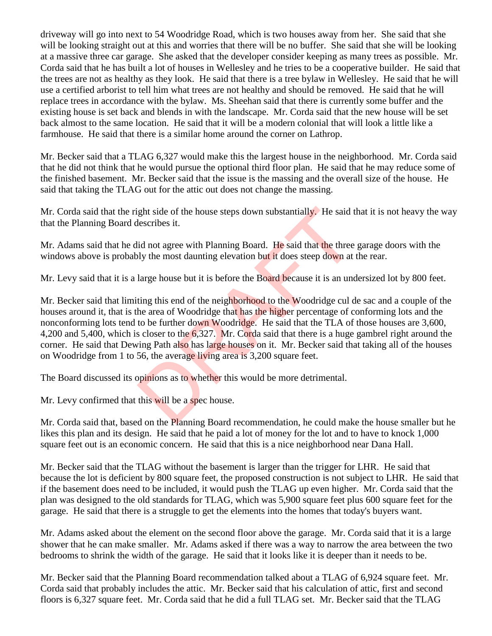driveway will go into next to 54 Woodridge Road, which is two houses away from her. She said that she will be looking straight out at this and worries that there will be no buffer. She said that she will be looking at a massive three car garage. She asked that the developer consider keeping as many trees as possible. Mr. Corda said that he has built a lot of houses in Wellesley and he tries to be a cooperative builder. He said that the trees are not as healthy as they look. He said that there is a tree bylaw in Wellesley. He said that he will use a certified arborist to tell him what trees are not healthy and should be removed. He said that he will replace trees in accordance with the bylaw. Ms. Sheehan said that there is currently some buffer and the existing house is set back and blends in with the landscape. Mr. Corda said that the new house will be set back almost to the same location. He said that it will be a modern colonial that will look a little like a farmhouse. He said that there is a similar home around the corner on Lathrop.

Mr. Becker said that a TLAG 6,327 would make this the largest house in the neighborhood. Mr. Corda said that he did not think that he would pursue the optional third floor plan. He said that he may reduce some of the finished basement. Mr. Becker said that the issue is the massing and the overall size of the house. He said that taking the TLAG out for the attic out does not change the massing.

Mr. Corda said that the right side of the house steps down substantially. He said that it is not heavy the way that the Planning Board describes it.

Mr. Adams said that he did not agree with Planning Board. He said that the three garage doors with the windows above is probably the most daunting elevation but it does steep down at the rear.

Mr. Levy said that it is a large house but it is before the Board because it is an undersized lot by 800 feet.

Mr. Becker said that limiting this end of the neighborhood to the Woodridge cul de sac and a couple of the houses around it, that is the area of Woodridge that has the higher percentage of conforming lots and the nonconforming lots tend to be further down Woodridge. He said that the TLA of those houses are 3,600, 4,200 and 5,400, which is closer to the 6,327. Mr. Corda said that there is a huge gambrel right around the corner. He said that Dewing Path also has large houses on it. Mr. Becker said that taking all of the houses on Woodridge from 1 to 56, the average living area is 3,200 square feet. ight side of the house steps down substantially. He said t<br>lescribes it.<br>lid not agree with Planning Board. He said that the three<br>ly the most daunting elevation but it does steep down at<br>large house but it is before the B

The Board discussed its opinions as to whether this would be more detrimental.

Mr. Levy confirmed that this will be a spec house.

Mr. Corda said that, based on the Planning Board recommendation, he could make the house smaller but he likes this plan and its design. He said that he paid a lot of money for the lot and to have to knock 1,000 square feet out is an economic concern. He said that this is a nice neighborhood near Dana Hall.

Mr. Becker said that the TLAG without the basement is larger than the trigger for LHR. He said that because the lot is deficient by 800 square feet, the proposed construction is not subject to LHR. He said that if the basement does need to be included, it would push the TLAG up even higher. Mr. Corda said that the plan was designed to the old standards for TLAG, which was 5,900 square feet plus 600 square feet for the garage. He said that there is a struggle to get the elements into the homes that today's buyers want.

Mr. Adams asked about the element on the second floor above the garage. Mr. Corda said that it is a large shower that he can make smaller. Mr. Adams asked if there was a way to narrow the area between the two bedrooms to shrink the width of the garage. He said that it looks like it is deeper than it needs to be.

Mr. Becker said that the Planning Board recommendation talked about a TLAG of 6,924 square feet. Mr. Corda said that probably includes the attic. Mr. Becker said that his calculation of attic, first and second floors is 6,327 square feet. Mr. Corda said that he did a full TLAG set. Mr. Becker said that the TLAG